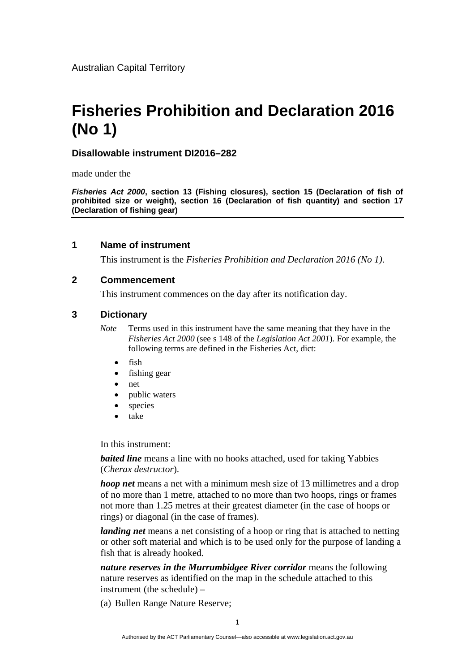Australian Capital Territory

# **Fisheries Prohibition and Declaration 2016 (No 1)**

# **Disallowable instrument DI2016–282**

made under the

*Fisheries Act 2000***, section 13 (Fishing closures), section 15 (Declaration of fish of prohibited size or weight), section 16 (Declaration of fish quantity) and section 17 (Declaration of fishing gear)** 

# **1 Name of instrument**

This instrument is the *Fisheries Prohibition and Declaration 2016 (No 1)*.

#### **2 Commencement**

This instrument commences on the day after its notification day.

# **3 Dictionary**

*Note* Terms used in this instrument have the same meaning that they have in the *Fisheries Act 2000* (see s 148 of the *Legislation Act 2001*). For example, the following terms are defined in the Fisheries Act, dict:

- fish
- fishing gear
- net
- public waters
- species
- take

In this instrument:

*baited line* means a line with no hooks attached, used for taking Yabbies (*Cherax destructor*).

*hoop net* means a net with a minimum mesh size of 13 millimetres and a drop of no more than 1 metre, attached to no more than two hoops, rings or frames not more than 1.25 metres at their greatest diameter (in the case of hoops or rings) or diagonal (in the case of frames).

*landing net* means a net consisting of a hoop or ring that is attached to netting or other soft material and which is to be used only for the purpose of landing a fish that is already hooked.

*nature reserves in the Murrumbidgee River corridor* means the following nature reserves as identified on the map in the schedule attached to this instrument (the schedule) –

(a) Bullen Range Nature Reserve;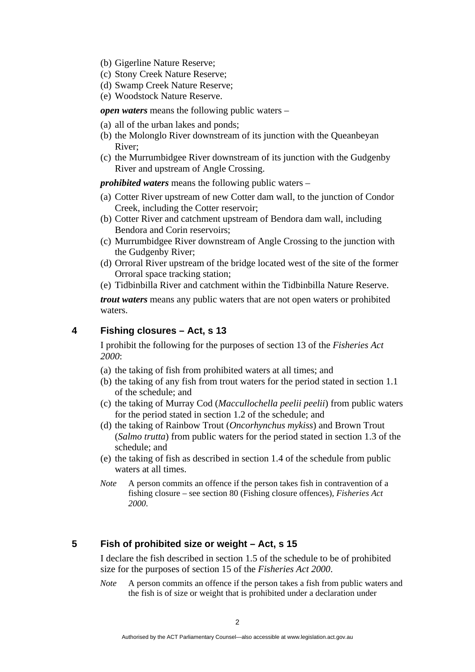- (b) Gigerline Nature Reserve;
- (c) Stony Creek Nature Reserve;
- (d) Swamp Creek Nature Reserve;
- (e) Woodstock Nature Reserve.

*open waters* means the following public waters –

- (a) all of the urban lakes and ponds;
- (b) the Molonglo River downstream of its junction with the Queanbeyan River;
- (c) the Murrumbidgee River downstream of its junction with the Gudgenby River and upstream of Angle Crossing.

*prohibited waters* means the following public waters –

- (a) Cotter River upstream of new Cotter dam wall, to the junction of Condor Creek, including the Cotter reservoir;
- (b) Cotter River and catchment upstream of Bendora dam wall, including Bendora and Corin reservoirs;
- (c) Murrumbidgee River downstream of Angle Crossing to the junction with the Gudgenby River;
- (d) Orroral River upstream of the bridge located west of the site of the former Orroral space tracking station;
- (e) Tidbinbilla River and catchment within the Tidbinbilla Nature Reserve.

*trout waters* means any public waters that are not open waters or prohibited waters.

# **4 Fishing closures – Act, s 13**

I prohibit the following for the purposes of section 13 of the *Fisheries Act 2000*:

- (a) the taking of fish from prohibited waters at all times; and
- (b) the taking of any fish from trout waters for the period stated in section 1.1 of the schedule; and
- (c) the taking of Murray Cod (*Maccullochella peelii peelii*) from public waters for the period stated in section 1.2 of the schedule; and
- (d) the taking of Rainbow Trout (*Oncorhynchus mykiss*) and Brown Trout (*Salmo trutta*) from public waters for the period stated in section 1.3 of the schedule; and
- (e) the taking of fish as described in section 1.4 of the schedule from public waters at all times.
- *Note* A person commits an offence if the person takes fish in contravention of a fishing closure – see section 80 (Fishing closure offences), *Fisheries Act 2000*.

# **5 Fish of prohibited size or weight – Act, s 15**

I declare the fish described in section 1.5 of the schedule to be of prohibited size for the purposes of section 15 of the *Fisheries Act 2000*.

*Note* A person commits an offence if the person takes a fish from public waters and the fish is of size or weight that is prohibited under a declaration under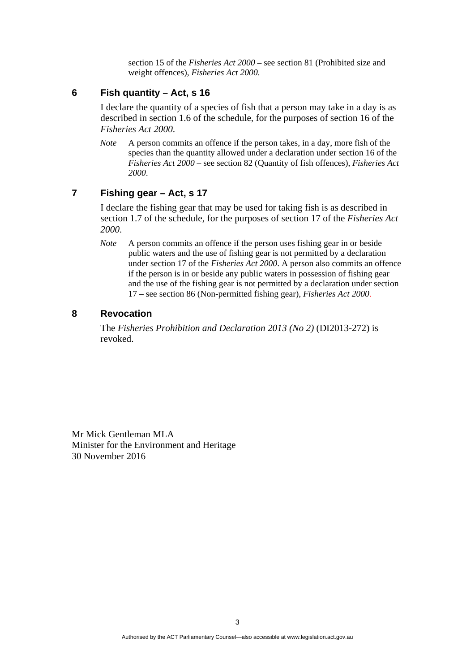section 15 of the *Fisheries Act 2000* – see section 81 (Prohibited size and weight offences), *Fisheries Act 2000*.

#### **6 Fish quantity – Act, s 16**

I declare the quantity of a species of fish that a person may take in a day is as described in section 1.6 of the schedule, for the purposes of section 16 of the *Fisheries Act 2000*.

*Note* A person commits an offence if the person takes, in a day, more fish of the species than the quantity allowed under a declaration under section 16 of the *Fisheries Act 2000* – see section 82 (Quantity of fish offences), *Fisheries Act 2000*.

# **7 Fishing gear – Act, s 17**

I declare the fishing gear that may be used for taking fish is as described in section 1.7 of the schedule, for the purposes of section 17 of the *Fisheries Act 2000*.

*Note* A person commits an offence if the person uses fishing gear in or beside public waters and the use of fishing gear is not permitted by a declaration under section 17 of the *Fisheries Act 2000*. A person also commits an offence if the person is in or beside any public waters in possession of fishing gear and the use of the fishing gear is not permitted by a declaration under section 17 – see section 86 (Non-permitted fishing gear), *Fisheries Act 2000*.

# **8 Revocation**

The *Fisheries Prohibition and Declaration 2013 (No 2)* (DI2013-272) is revoked.

Mr Mick Gentleman MLA Minister for the Environment and Heritage 30 November 2016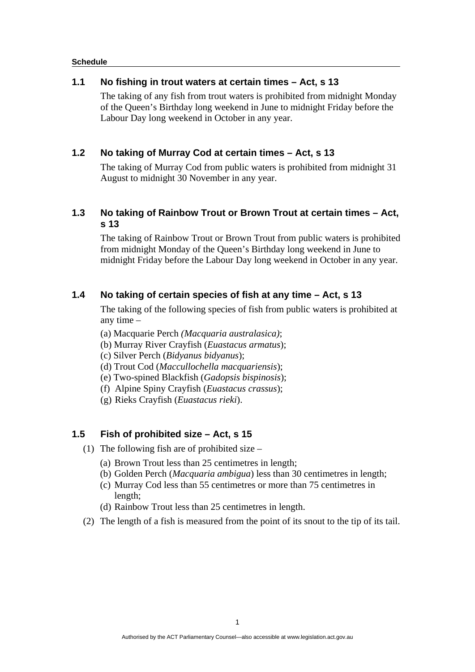#### **Schedule**

#### **1.1 No fishing in trout waters at certain times – Act, s 13**

The taking of any fish from trout waters is prohibited from midnight Monday of the Queen's Birthday long weekend in June to midnight Friday before the Labour Day long weekend in October in any year.

# **1.2 No taking of Murray Cod at certain times – Act, s 13**

The taking of Murray Cod from public waters is prohibited from midnight 31 August to midnight 30 November in any year.

# **1.3 No taking of Rainbow Trout or Brown Trout at certain times – Act, s 13**

The taking of Rainbow Trout or Brown Trout from public waters is prohibited from midnight Monday of the Queen's Birthday long weekend in June to midnight Friday before the Labour Day long weekend in October in any year.

# **1.4 No taking of certain species of fish at any time – Act, s 13**

The taking of the following species of fish from public waters is prohibited at any time –

(a) Macquarie Perch *(Macquaria australasica)*;

- (b) Murray River Crayfish (*Euastacus armatus*);
- (c) Silver Perch (*Bidyanus bidyanus*);
- (d) Trout Cod (*Maccullochella macquariensis*);
- (e) Two-spined Blackfish (*Gadopsis bispinosis*);
- (f) Alpine Spiny Crayfish (*Euastacus crassus*);
- (g) Rieks Crayfish (*Euastacus rieki*).

# **1.5 Fish of prohibited size – Act, s 15**

- (1) The following fish are of prohibited size
	- (a) Brown Trout less than 25 centimetres in length;
	- (b) Golden Perch (*Macquaria ambigua*) less than 30 centimetres in length;
	- (c) Murray Cod less than 55 centimetres or more than 75 centimetres in length;
	- (d) Rainbow Trout less than 25 centimetres in length.
- (2) The length of a fish is measured from the point of its snout to the tip of its tail.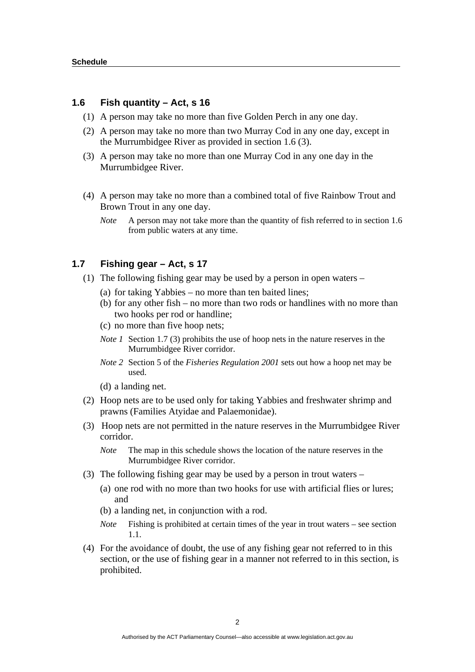#### **1.6 Fish quantity – Act, s 16**

- (1) A person may take no more than five Golden Perch in any one day.
- (2) A person may take no more than two Murray Cod in any one day, except in the Murrumbidgee River as provided in section 1.6 (3).
- (3) A person may take no more than one Murray Cod in any one day in the Murrumbidgee River.
- (4) A person may take no more than a combined total of five Rainbow Trout and Brown Trout in any one day.
	- *Note* A person may not take more than the quantity of fish referred to in section 1.6 from public waters at any time.

#### **1.7 Fishing gear – Act, s 17**

- (1) The following fishing gear may be used by a person in open waters
	- (a) for taking Yabbies no more than ten baited lines;
	- (b) for any other fish no more than two rods or handlines with no more than two hooks per rod or handline;
	- (c) no more than five hoop nets;
	- *Note 1* Section 1.7 (3) prohibits the use of hoop nets in the nature reserves in the Murrumbidgee River corridor.
	- *Note 2* Section 5 of the *Fisheries Regulation 2001* sets out how a hoop net may be used.
	- (d) a landing net.
- (2) Hoop nets are to be used only for taking Yabbies and freshwater shrimp and prawns (Families Atyidae and Palaemonidae).
- (3) Hoop nets are not permitted in the nature reserves in the Murrumbidgee River corridor.

*Note* The map in this schedule shows the location of the nature reserves in the Murrumbidgee River corridor.

- (3) The following fishing gear may be used by a person in trout waters
	- (a) one rod with no more than two hooks for use with artificial flies or lures; and
	- (b) a landing net, in conjunction with a rod.
	- *Note* Fishing is prohibited at certain times of the year in trout waters see section 1.1.
- (4) For the avoidance of doubt, the use of any fishing gear not referred to in this section, or the use of fishing gear in a manner not referred to in this section, is prohibited.